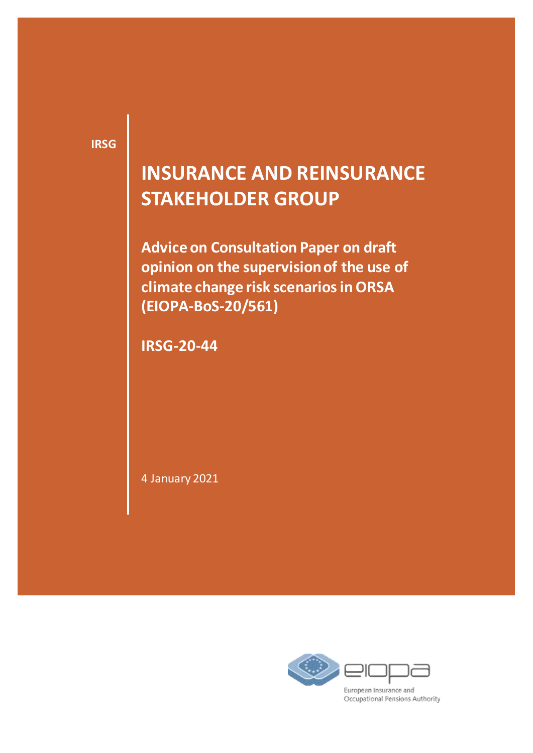**IRSG**

## **INSURANCE AND REINSURANCE STAKEHOLDER GROUP**

**Advice on Consultation Paper on draft opinion on the supervision of the use of climate change risk scenarios in ORSA (EIOPA-BoS-20/561)**

**IRSG-20-44** 

4 January 2021



Occupational Pensions Authority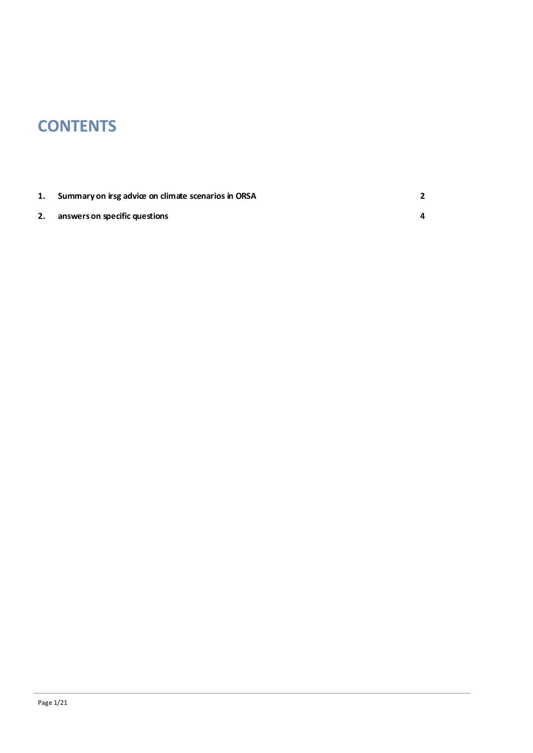## **CONTENTS**

|    | 1. Summary on irsg advice on climate scenarios in ORSA |  |
|----|--------------------------------------------------------|--|
| 2. | answers on specific questions                          |  |

Page 1/21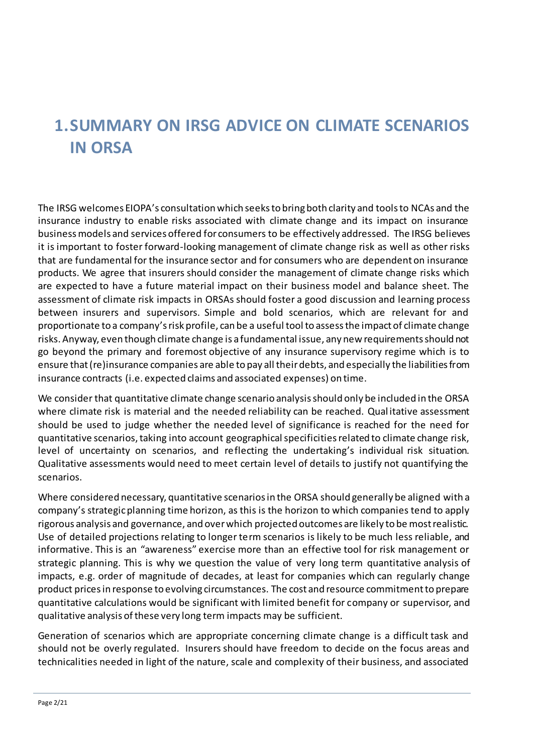## <span id="page-2-0"></span>**1.SUMMARY ON IRSG ADVICE ON CLIMATE SCENARIOS IN ORSA**

The IRSG welcomes EIOPA's consultation which seeks to bring both clarity and tools to NCAs and the insurance industry to enable risks associated with climate change and its impact on insurance business models and services offered for consumers to be effectively addressed. The IRSG believes it is important to foster forward-looking management of climate change risk as well as other risks that are fundamental for the insurance sector and for consumers who are dependent on insurance products. We agree that insurers should consider the management of climate change risks which are expected to have a future material impact on their business model and balance sheet. The assessment of climate risk impacts in ORSAs should foster a good discussion and learning process between insurers and supervisors. Simple and bold scenarios, which are relevant for and proportionate to a company's risk profile, can be a useful tool to assess the impact of climate change risks. Anyway, even though climate change is a fundamental issue, any new requirements should not go beyond the primary and foremost objective of any insurance supervisory regime which is to ensure that (re)insurance companies are able to pay all their debts, and especially the liabilities from insurance contracts (i.e. expected claims and associated expenses) on time.

We consider that quantitative climate change scenario analysis should only be included in the ORSA where climate risk is material and the needed reliability can be reached. Qual itative assessment should be used to judge whether the needed level of significance is reached for the need for quantitative scenarios, taking into account geographical specificities related to climate change risk, level of uncertainty on scenarios, and reflecting the undertaking's individual risk situation. Qualitative assessments would need to meet certain level of details to justify not quantifying the scenarios.

Where considered necessary, quantitative scenarios in the ORSA should generally be aligned with a company's strategic planning time horizon, as this is the horizon to which companies tend to apply rigorous analysis and governance, and over which projected outcomes are likely to be most realistic. Use of detailed projections relating to longer term scenarios is likely to be much less reliable, and informative. This is an "awareness" exercise more than an effective tool for risk management or strategic planning. This is why we question the value of very long term quantitative analysis of impacts, e.g. order of magnitude of decades, at least for companies which can regularly change product prices in response to evolving circumstances. The cost and resource commitment to prepare quantitative calculations would be significant with limited benefit for company or supervisor, and qualitative analysis of these very long term impacts may be sufficient.

Generation of scenarios which are appropriate concerning climate change is a difficult task and should not be overly regulated. Insurers should have freedom to decide on the focus areas and technicalities needed in light of the nature, scale and complexity of their business, and associated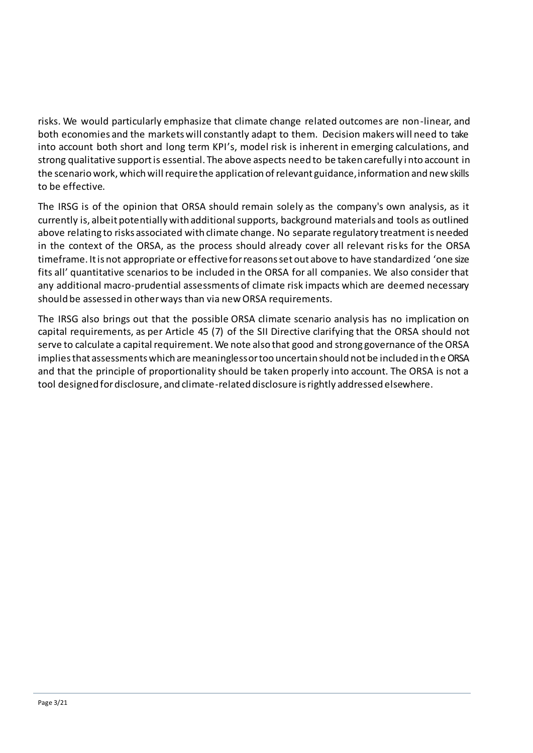risks. We would particularly emphasize that climate change related outcomes are non-linear, and both economies and the markets will constantly adapt to them. Decision makers will need to take into account both short and long term KPI's, model risk is inherent in emerging calculations, and strong qualitative support is essential. The above aspects need to be taken carefully i nto account in the scenario work, which will require the application of relevant guidance, information and new skills to be effective.

The IRSG is of the opinion that ORSA should remain solely as the company's own analysis, as it currently is, albeit potentially with additional supports, background materials and tools as outlined above relating to risks associated with climate change. No separate regulatory treatment is needed in the context of the ORSA, as the process should already cover all relevant ris ks for the ORSA timeframe. It is not appropriate or effective for reasons set out above to have standardized 'one size fits all' quantitative scenarios to be included in the ORSA for all companies. We also consider that any additional macro-prudential assessments of climate risk impacts which are deemed necessary should be assessed in other ways than via new ORSA requirements.

The IRSG also brings out that the possible ORSA climate scenario analysis has no implication on capital requirements, as per Article 45 (7) of the SII Directive clarifying that the ORSA should not serve to calculate a capital requirement. We note also that good and strong governance of the ORSA implies that assessments which are meaningless or too uncertain should not be included in the ORSA and that the principle of proportionality should be taken properly into account. The ORSA is not a tool designed for disclosure, and climate-related disclosure is rightly addressed elsewhere.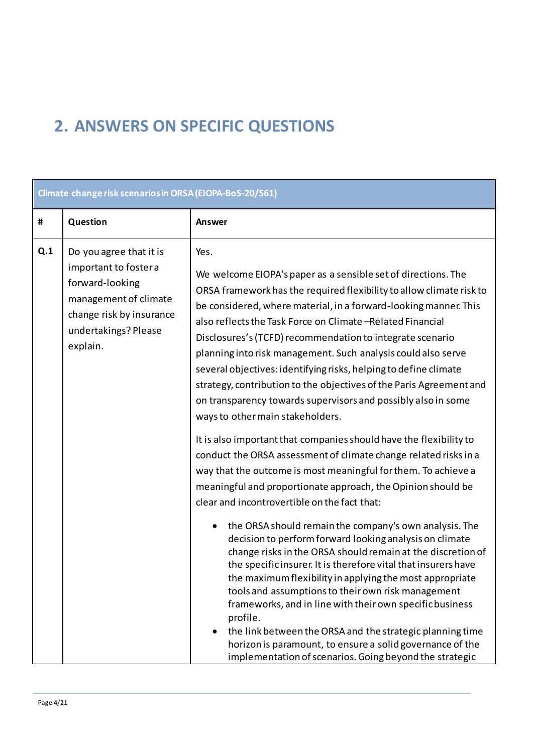## <span id="page-4-0"></span>**2. ANSWERS ON SPECIFIC QUESTIONS**

| Climate change risk scenarios in ORSA (EIOPA-BoS-20/561) |                                                                                                                                                              |                                                                                                                                                                                                                                                                                                                                                                                                                                                                                                                                                                                                                                                                                                                                                                                                                                                                                                                                                                                                                                                                                                                                                                                                                                                                                                                                                                                                                                                                                                                                                                                                                               |  |  |
|----------------------------------------------------------|--------------------------------------------------------------------------------------------------------------------------------------------------------------|-------------------------------------------------------------------------------------------------------------------------------------------------------------------------------------------------------------------------------------------------------------------------------------------------------------------------------------------------------------------------------------------------------------------------------------------------------------------------------------------------------------------------------------------------------------------------------------------------------------------------------------------------------------------------------------------------------------------------------------------------------------------------------------------------------------------------------------------------------------------------------------------------------------------------------------------------------------------------------------------------------------------------------------------------------------------------------------------------------------------------------------------------------------------------------------------------------------------------------------------------------------------------------------------------------------------------------------------------------------------------------------------------------------------------------------------------------------------------------------------------------------------------------------------------------------------------------------------------------------------------------|--|--|
| #                                                        | Question                                                                                                                                                     | <b>Answer</b>                                                                                                                                                                                                                                                                                                                                                                                                                                                                                                                                                                                                                                                                                                                                                                                                                                                                                                                                                                                                                                                                                                                                                                                                                                                                                                                                                                                                                                                                                                                                                                                                                 |  |  |
| Q.1                                                      | Do you agree that it is<br>important to foster a<br>forward-looking<br>management of climate<br>change risk by insurance<br>undertakings? Please<br>explain. | Yes.<br>We welcome EIOPA's paper as a sensible set of directions. The<br>ORSA framework has the required flexibility to allow climate risk to<br>be considered, where material, in a forward-looking manner. This<br>also reflects the Task Force on Climate-Related Financial<br>Disclosures's (TCFD) recommendation to integrate scenario<br>planning into risk management. Such analysis could also serve<br>several objectives: identifying risks, helping to define climate<br>strategy, contribution to the objectives of the Paris Agreement and<br>on transparency towards supervisors and possibly also in some<br>ways to other main stakeholders.<br>It is also important that companies should have the flexibility to<br>conduct the ORSA assessment of climate change related risks in a<br>way that the outcome is most meaningful for them. To achieve a<br>meaningful and proportionate approach, the Opinion should be<br>clear and incontrovertible on the fact that:<br>the ORSA should remain the company's own analysis. The<br>decision to perform forward looking analysis on climate<br>change risks in the ORSA should remain at the discretion of<br>the specific insurer. It is therefore vital that insurers have<br>the maximum flexibility in applying the most appropriate<br>tools and assumptions to their own risk management<br>frameworks, and in line with their own specific business<br>profile.<br>the link between the ORSA and the strategic planning time<br>horizon is paramount, to ensure a solid governance of the<br>implementation of scenarios. Going beyond the strategic |  |  |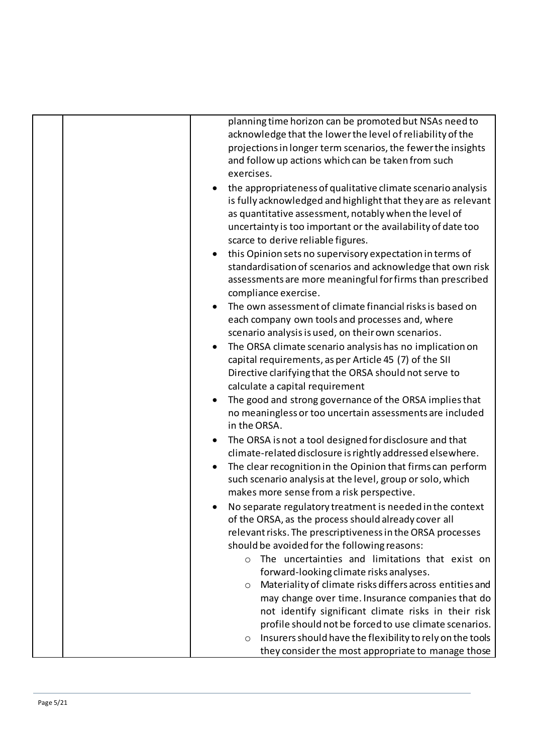|  | planning time horizon can be promoted but NSAs need to<br>acknowledge that the lower the level of reliability of the                                                                                                                                                                           |
|--|------------------------------------------------------------------------------------------------------------------------------------------------------------------------------------------------------------------------------------------------------------------------------------------------|
|  | projections in longer term scenarios, the fewer the insights<br>and follow up actions which can be taken from such<br>exercises.                                                                                                                                                               |
|  | the appropriateness of qualitative climate scenario analysis<br>is fully acknowledged and highlight that they are as relevant<br>as quantitative assessment, notably when the level of<br>uncertainty is too important or the availability of date too<br>scarce to derive reliable figures.   |
|  | this Opinion sets no supervisory expectation in terms of<br>standardisation of scenarios and acknowledge that own risk<br>assessments are more meaningful for firms than prescribed<br>compliance exercise.                                                                                    |
|  | The own assessment of climate financial risks is based on<br>each company own tools and processes and, where<br>scenario analysis is used, on their own scenarios.                                                                                                                             |
|  | The ORSA climate scenario analysis has no implication on<br>capital requirements, as per Article 45 (7) of the SII<br>Directive clarifying that the ORSA should not serve to<br>calculate a capital requirement                                                                                |
|  | The good and strong governance of the ORSA implies that<br>no meaningless or too uncertain assessments are included<br>in the ORSA.                                                                                                                                                            |
|  | The ORSA is not a tool designed for disclosure and that<br>climate-related disclosure is rightly addressed elsewhere.<br>The clear recognition in the Opinion that firms can perform<br>such scenario analysis at the level, group or solo, which<br>makes more sense from a risk perspective. |
|  | No separate regulatory treatment is needed in the context<br>of the ORSA, as the process should already cover all<br>relevant risks. The prescriptiveness in the ORSA processes<br>should be avoided for the following reasons:                                                                |
|  | The uncertainties and limitations that exist on<br>$\Omega$<br>forward-looking climate risks analyses.<br>Materiality of climate risks differs across entities and<br>O<br>may change over time. Insurance companies that do                                                                   |
|  | not identify significant climate risks in their risk<br>profile should not be forced to use climate scenarios.<br>Insurers should have the flexibility to rely on the tools<br>$\circ$                                                                                                         |
|  | they consider the most appropriate to manage those                                                                                                                                                                                                                                             |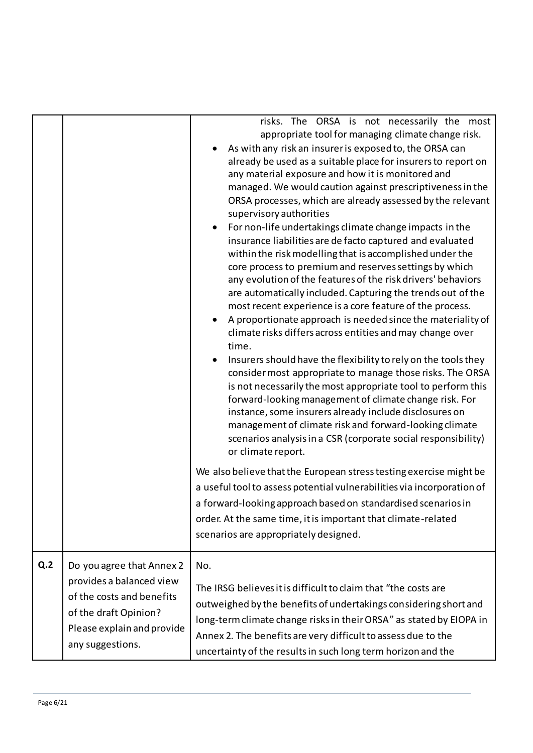|     |                                                                                                                                                               | risks. The ORSA is not necessarily the most<br>appropriate tool for managing climate change risk.<br>As with any risk an insurer is exposed to, the ORSA can<br>already be used as a suitable place for insurers to report on<br>any material exposure and how it is monitored and<br>managed. We would caution against prescriptiveness in the<br>ORSA processes, which are already assessed by the relevant<br>supervisory authorities<br>For non-life undertakings climate change impacts in the<br>insurance liabilities are de facto captured and evaluated<br>within the risk modelling that is accomplished under the<br>core process to premium and reserves settings by which<br>any evolution of the features of the risk drivers' behaviors<br>are automatically included. Capturing the trends out of the<br>most recent experience is a core feature of the process.<br>A proportionate approach is needed since the materiality of<br>climate risks differs across entities and may change over<br>time.<br>Insurers should have the flexibility to rely on the tools they<br>consider most appropriate to manage those risks. The ORSA<br>is not necessarily the most appropriate tool to perform this<br>forward-looking management of climate change risk. For<br>instance, some insurers already include disclosures on<br>management of climate risk and forward-looking climate<br>scenarios analysis in a CSR (corporate social responsibility)<br>or climate report.<br>We also believe that the European stress testing exercise might be<br>a useful tool to assess potential vulnerabilities via incorporation of<br>a forward-looking approach based on standardised scenarios in<br>order. At the same time, it is important that climate-related<br>scenarios are appropriately designed. |
|-----|---------------------------------------------------------------------------------------------------------------------------------------------------------------|-----------------------------------------------------------------------------------------------------------------------------------------------------------------------------------------------------------------------------------------------------------------------------------------------------------------------------------------------------------------------------------------------------------------------------------------------------------------------------------------------------------------------------------------------------------------------------------------------------------------------------------------------------------------------------------------------------------------------------------------------------------------------------------------------------------------------------------------------------------------------------------------------------------------------------------------------------------------------------------------------------------------------------------------------------------------------------------------------------------------------------------------------------------------------------------------------------------------------------------------------------------------------------------------------------------------------------------------------------------------------------------------------------------------------------------------------------------------------------------------------------------------------------------------------------------------------------------------------------------------------------------------------------------------------------------------------------------------------------------------------------------------------------------------------------------------------|
| Q.2 | Do you agree that Annex 2<br>provides a balanced view<br>of the costs and benefits<br>of the draft Opinion?<br>Please explain and provide<br>any suggestions. | No.<br>The IRSG believes it is difficult to claim that "the costs are<br>outweighed by the benefits of undertakings considering short and<br>long-term climate change risks in their ORSA" as stated by EIOPA in<br>Annex 2. The benefits are very difficult to assess due to the<br>uncertainty of the results in such long term horizon and the                                                                                                                                                                                                                                                                                                                                                                                                                                                                                                                                                                                                                                                                                                                                                                                                                                                                                                                                                                                                                                                                                                                                                                                                                                                                                                                                                                                                                                                                     |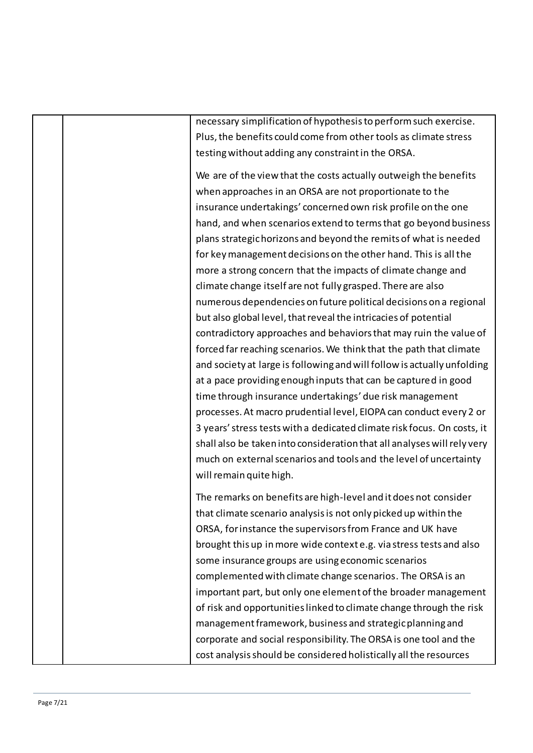necessary simplification of hypothesis to perform such exercise. Plus, the benefits could come from other tools as climate stress testing without adding any constraint in the ORSA.

We are of the view that the costs actually outweigh the benefits when approaches in an ORSA are not proportionate to the insurance undertakings' concerned own risk profile on the one hand, and when scenarios extend to terms that go beyond business plans strategic horizons and beyond the remits of what is needed for key management decisions on the other hand. This is all the more a strong concern that the impacts of climate change and climate change itself are not fully grasped. There are also numerous dependencies on future political decisions on a regional but also global level, that reveal the intricacies of potential contradictory approaches and behaviors that may ruin the value of forced far reaching scenarios. We think that the path that climate and society at large is following and will follow is actually unfolding at a pace providing enough inputs that can be captured in good time through insurance undertakings' due risk management processes. At macro prudential level, EIOPA can conduct every 2 or 3 years'stress tests with a dedicated climate risk focus. On costs, it shall also be taken into consideration that all analyses will rely very much on external scenarios and tools and the level of uncertainty will remain quite high.

The remarks on benefits are high-level and it does not consider that climate scenario analysis is not only picked up within the ORSA, for instance the supervisors from France and UK have brought this up in more wide context e.g. via stress tests and also some insurance groups are using economic scenarios complemented with climate change scenarios. The ORSA is an important part, but only one element of the broader management of risk and opportunities linked to climate change through the risk management framework, business and strategic planning and corporate and social responsibility. The ORSA is one tool and the cost analysis should be considered holistically all the resources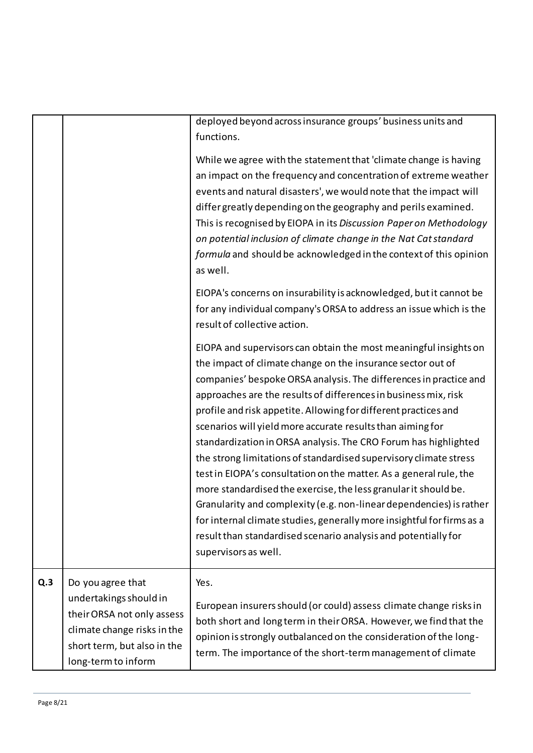|     |                                                                                                                                                                | deployed beyond across insurance groups' business units and<br>functions.                                                                                                                                                                                                                                                                                                                                                                                                                                                                                                                                                                                                                                                                                                                                                                                                                                                            |
|-----|----------------------------------------------------------------------------------------------------------------------------------------------------------------|--------------------------------------------------------------------------------------------------------------------------------------------------------------------------------------------------------------------------------------------------------------------------------------------------------------------------------------------------------------------------------------------------------------------------------------------------------------------------------------------------------------------------------------------------------------------------------------------------------------------------------------------------------------------------------------------------------------------------------------------------------------------------------------------------------------------------------------------------------------------------------------------------------------------------------------|
|     |                                                                                                                                                                | While we agree with the statement that 'climate change is having<br>an impact on the frequency and concentration of extreme weather<br>events and natural disasters', we would note that the impact will<br>differ greatly depending on the geography and perils examined.<br>This is recognised by EIOPA in its Discussion Paper on Methodology<br>on potential inclusion of climate change in the Nat Cat standard<br>formula and should be acknowledged in the context of this opinion<br>as well.                                                                                                                                                                                                                                                                                                                                                                                                                                |
|     |                                                                                                                                                                | EIOPA's concerns on insurability is acknowledged, but it cannot be<br>for any individual company's ORSA to address an issue which is the<br>result of collective action.                                                                                                                                                                                                                                                                                                                                                                                                                                                                                                                                                                                                                                                                                                                                                             |
|     |                                                                                                                                                                | EIOPA and supervisors can obtain the most meaningful insights on<br>the impact of climate change on the insurance sector out of<br>companies' bespoke ORSA analysis. The differences in practice and<br>approaches are the results of differences in business mix, risk<br>profile and risk appetite. Allowing for different practices and<br>scenarios will yield more accurate results than aiming for<br>standardization in ORSA analysis. The CRO Forum has highlighted<br>the strong limitations of standardised supervisory climate stress<br>test in EIOPA's consultation on the matter. As a general rule, the<br>more standardised the exercise, the less granular it should be.<br>Granularity and complexity (e.g. non-linear dependencies) is rather<br>for internal climate studies, generally more insightful for firms as a<br>result than standardised scenario analysis and potentially for<br>supervisors as well. |
| Q.3 | Do you agree that<br>undertakings should in<br>their ORSA not only assess<br>climate change risks in the<br>short term, but also in the<br>long-term to inform | Yes.<br>European insurers should (or could) assess climate change risks in<br>both short and long term in their ORSA. However, we find that the<br>opinion is strongly outbalanced on the consideration of the long-<br>term. The importance of the short-term management of climate                                                                                                                                                                                                                                                                                                                                                                                                                                                                                                                                                                                                                                                 |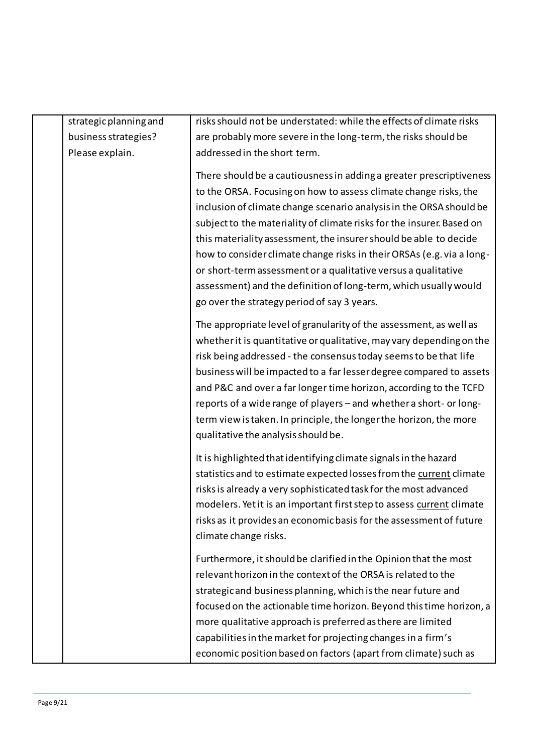| strategic planning and | risks should not be understated: while the effects of climate risks                                                                                                                                                                                                                                                                                                                                                                                                                                                                                                                                                        |
|------------------------|----------------------------------------------------------------------------------------------------------------------------------------------------------------------------------------------------------------------------------------------------------------------------------------------------------------------------------------------------------------------------------------------------------------------------------------------------------------------------------------------------------------------------------------------------------------------------------------------------------------------------|
| business strategies?   | are probably more severe in the long-term, the risks should be                                                                                                                                                                                                                                                                                                                                                                                                                                                                                                                                                             |
| Please explain.        | addressed in the short term.                                                                                                                                                                                                                                                                                                                                                                                                                                                                                                                                                                                               |
|                        | There should be a cautiousness in adding a greater prescriptiveness<br>to the ORSA. Focusing on how to assess climate change risks, the<br>inclusion of climate change scenario analysis in the ORSA should be<br>subject to the materiality of climate risks for the insurer. Based on<br>this materiality assessment, the insurer should be able to decide<br>how to consider climate change risks in their ORSAs (e.g. via a long-<br>or short-term assessment or a qualitative versus a qualitative<br>assessment) and the definition of long-term, which usually would<br>go over the strategy period of say 3 years. |
|                        | The appropriate level of granularity of the assessment, as well as<br>whether it is quantitative or qualitative, may vary depending on the<br>risk being addressed - the consensus today seems to be that life<br>business will be impacted to a far lesser degree compared to assets<br>and P&C and over a far longer time horizon, according to the TCFD<br>reports of a wide range of players - and whether a short- or long-<br>term view is taken. In principle, the longer the horizon, the more<br>qualitative the analysis should be.                                                                              |
|                        | It is highlighted that identifying climate signals in the hazard<br>statistics and to estimate expected losses from the current climate<br>risks is already a very sophisticated task for the most advanced<br>modelers. Yet it is an important first step to assess current climate<br>risks as it provides an economic basis for the assessment of future<br>climate change risks.                                                                                                                                                                                                                                       |
|                        | Furthermore, it should be clarified in the Opinion that the most<br>relevant horizon in the context of the ORSA is related to the<br>strategic and business planning, which is the near future and<br>focused on the actionable time horizon. Beyond this time horizon, a<br>more qualitative approach is preferred as there are limited<br>capabilities in the market for projecting changes in a firm's<br>economic position based on factors (apart from climate) such as                                                                                                                                               |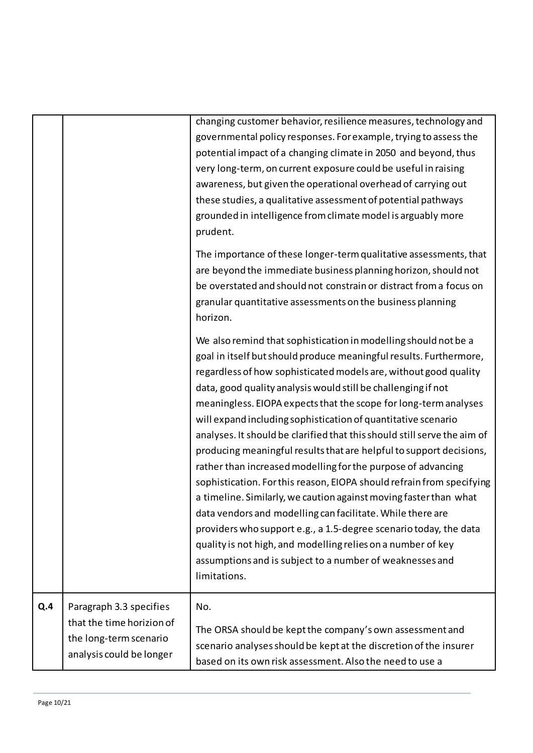| Q.4 | Paragraph 3.3 specifies<br>that the time horizion of<br>the long-term scenario<br>analysis could be longer | No.<br>The ORSA should be kept the company's own assessment and<br>scenario analyses should be kept at the discretion of the insurer<br>based on its own risk assessment. Also the need to use a                                                                                                                                                                                                                                                                                                                                                                                                                                                                                                                                                                                                                                                                                                                                                                                                                                                                |
|-----|------------------------------------------------------------------------------------------------------------|-----------------------------------------------------------------------------------------------------------------------------------------------------------------------------------------------------------------------------------------------------------------------------------------------------------------------------------------------------------------------------------------------------------------------------------------------------------------------------------------------------------------------------------------------------------------------------------------------------------------------------------------------------------------------------------------------------------------------------------------------------------------------------------------------------------------------------------------------------------------------------------------------------------------------------------------------------------------------------------------------------------------------------------------------------------------|
|     |                                                                                                            | We also remind that sophistication in modelling should not be a<br>goal in itself but should produce meaningful results. Furthermore,<br>regardless of how sophisticated models are, without good quality<br>data, good quality analysis would still be challenging if not<br>meaningless. EIOPA expects that the scope for long-term analyses<br>will expand including sophistication of quantitative scenario<br>analyses. It should be clarified that this should still serve the aim of<br>producing meaningful results that are helpful to support decisions,<br>rather than increased modelling for the purpose of advancing<br>sophistication. For this reason, EIOPA should refrain from specifying<br>a timeline. Similarly, we caution against moving faster than what<br>data vendors and modelling can facilitate. While there are<br>providers who support e.g., a 1.5-degree scenario today, the data<br>quality is not high, and modelling relies on a number of key<br>assumptions and is subject to a number of weaknesses and<br>limitations. |
|     |                                                                                                            | The importance of these longer-term qualitative assessments, that<br>are beyond the immediate business planning horizon, should not<br>be overstated and should not constrain or distract from a focus on<br>granular quantitative assessments on the business planning<br>horizon.                                                                                                                                                                                                                                                                                                                                                                                                                                                                                                                                                                                                                                                                                                                                                                             |
|     |                                                                                                            | changing customer behavior, resilience measures, technology and<br>governmental policy responses. For example, trying to assess the<br>potential impact of a changing climate in 2050 and beyond, thus<br>very long-term, on current exposure could be useful in raising<br>awareness, but given the operational overhead of carrying out<br>these studies, a qualitative assessment of potential pathways<br>grounded in intelligence from climate model is arguably more<br>prudent.                                                                                                                                                                                                                                                                                                                                                                                                                                                                                                                                                                          |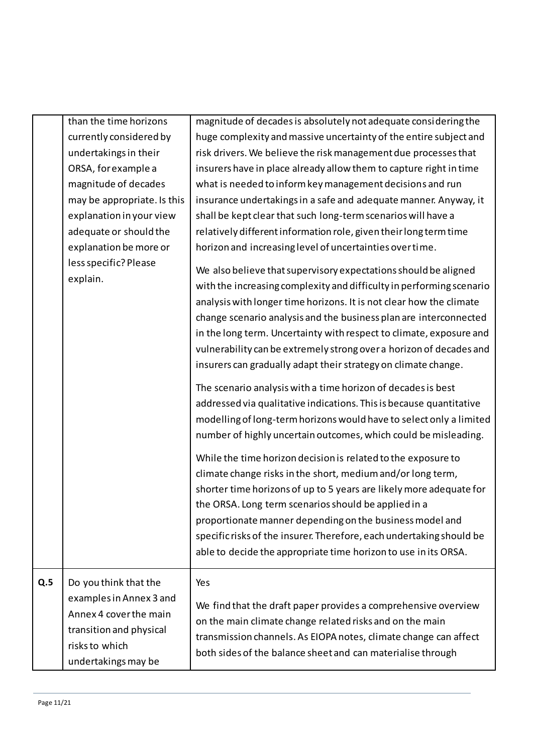|     | than the time horizons                                                                                                                         | magnitude of decades is absolutely not adequate considering the                                                                                                                                                                                                                                                                                                                                                                                                    |  |  |  |
|-----|------------------------------------------------------------------------------------------------------------------------------------------------|--------------------------------------------------------------------------------------------------------------------------------------------------------------------------------------------------------------------------------------------------------------------------------------------------------------------------------------------------------------------------------------------------------------------------------------------------------------------|--|--|--|
|     | currently considered by                                                                                                                        | huge complexity and massive uncertainty of the entire subject and                                                                                                                                                                                                                                                                                                                                                                                                  |  |  |  |
|     | undertakings in their                                                                                                                          | risk drivers. We believe the risk management due processes that                                                                                                                                                                                                                                                                                                                                                                                                    |  |  |  |
|     | ORSA, for example a                                                                                                                            | insurers have in place already allow them to capture right in time                                                                                                                                                                                                                                                                                                                                                                                                 |  |  |  |
|     | magnitude of decades                                                                                                                           | what is needed to inform key management decisions and run                                                                                                                                                                                                                                                                                                                                                                                                          |  |  |  |
|     | may be appropriate. Is this                                                                                                                    | insurance undertakings in a safe and adequate manner. Anyway, it                                                                                                                                                                                                                                                                                                                                                                                                   |  |  |  |
|     | explanation in your view                                                                                                                       | shall be kept clear that such long-term scenarios will have a                                                                                                                                                                                                                                                                                                                                                                                                      |  |  |  |
|     | adequate or should the                                                                                                                         | relatively different information role, given their long term time                                                                                                                                                                                                                                                                                                                                                                                                  |  |  |  |
|     | explanation be more or                                                                                                                         | horizon and increasing level of uncertainties over time.                                                                                                                                                                                                                                                                                                                                                                                                           |  |  |  |
|     | less specific? Please<br>explain.                                                                                                              | We also believe that supervisory expectations should be aligned<br>with the increasing complexity and difficulty in performing scenario                                                                                                                                                                                                                                                                                                                            |  |  |  |
|     |                                                                                                                                                | analysis with longer time horizons. It is not clear how the climate<br>change scenario analysis and the business plan are interconnected<br>in the long term. Uncertainty with respect to climate, exposure and<br>vulnerability can be extremely strong over a horizon of decades and<br>insurers can gradually adapt their strategy on climate change.                                                                                                           |  |  |  |
|     |                                                                                                                                                | The scenario analysis with a time horizon of decades is best<br>addressed via qualitative indications. This is because quantitative<br>modelling of long-term horizons would have to select only a limited<br>number of highly uncertain outcomes, which could be misleading.                                                                                                                                                                                      |  |  |  |
|     |                                                                                                                                                | While the time horizon decision is related to the exposure to<br>climate change risks in the short, medium and/or long term,<br>shorter time horizons of up to 5 years are likely more adequate for<br>the ORSA. Long term scenarios should be applied in a<br>proportionate manner depending on the business model and<br>specific risks of the insurer. Therefore, each undertaking should be<br>able to decide the appropriate time horizon to use in its ORSA. |  |  |  |
| Q.5 | Do you think that the<br>examples in Annex 3 and<br>Annex 4 cover the main<br>transition and physical<br>risks to which<br>undertakings may be | Yes<br>We find that the draft paper provides a comprehensive overview<br>on the main climate change related risks and on the main<br>transmission channels. As EIOPA notes, climate change can affect<br>both sides of the balance sheet and can materialise through                                                                                                                                                                                               |  |  |  |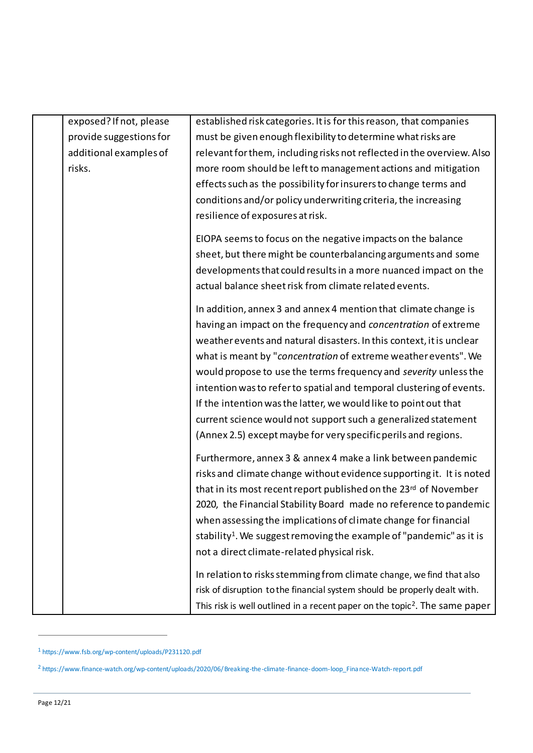| exposed? If not, please | established risk categories. It is for this reason, that companies                      |
|-------------------------|-----------------------------------------------------------------------------------------|
| provide suggestions for | must be given enough flexibility to determine what risks are                            |
| additional examples of  | relevant for them, including risks not reflected in the overview. Also                  |
| risks.                  | more room should be left to management actions and mitigation                           |
|                         | effects such as the possibility for insurers to change terms and                        |
|                         | conditions and/or policy underwriting criteria, the increasing                          |
|                         | resilience of exposures at risk.                                                        |
|                         | EIOPA seems to focus on the negative impacts on the balance                             |
|                         | sheet, but there might be counterbalancing arguments and some                           |
|                         | developments that could results in a more nuanced impact on the                         |
|                         | actual balance sheet risk from climate related events.                                  |
|                         | In addition, annex 3 and annex 4 mention that climate change is                         |
|                         | having an impact on the frequency and concentration of extreme                          |
|                         | weather events and natural disasters. In this context, it is unclear                    |
|                         | what is meant by "concentration of extreme weather events". We                          |
|                         | would propose to use the terms frequency and severity unless the                        |
|                         | intention was to refer to spatial and temporal clustering of events.                    |
|                         | If the intention was the latter, we would like to point out that                        |
|                         | current science would not support such a generalized statement                          |
|                         | (Annex 2.5) except maybe for very specific perils and regions.                          |
|                         | Furthermore, annex 3 & annex 4 make a link between pandemic                             |
|                         | risks and climate change without evidence supporting it. It is noted                    |
|                         | that in its most recent report published on the 23rd of November                        |
|                         | 2020, the Financial Stability Board made no reference to pandemic                       |
|                         | when assessing the implications of climate change for financial                         |
|                         | stability <sup>1</sup> . We suggest removing the example of "pandemic" as it is         |
|                         | not a direct climate-related physical risk.                                             |
|                         | In relation to risks stemming from climate change, we find that also                    |
|                         | risk of disruption to the financial system should be properly dealt with.               |
|                         | This risk is well outlined in a recent paper on the topic <sup>2</sup> . The same paper |

<sup>1</sup> https://www.fsb.org/wp-content/uploads/P231120.pdf

l

<sup>2</sup> https://www.finance-watch.org/wp-content/uploads/2020/06/ Breaking-the-climate-finance-doom-loop\_Fina nce-Watch-report.pdf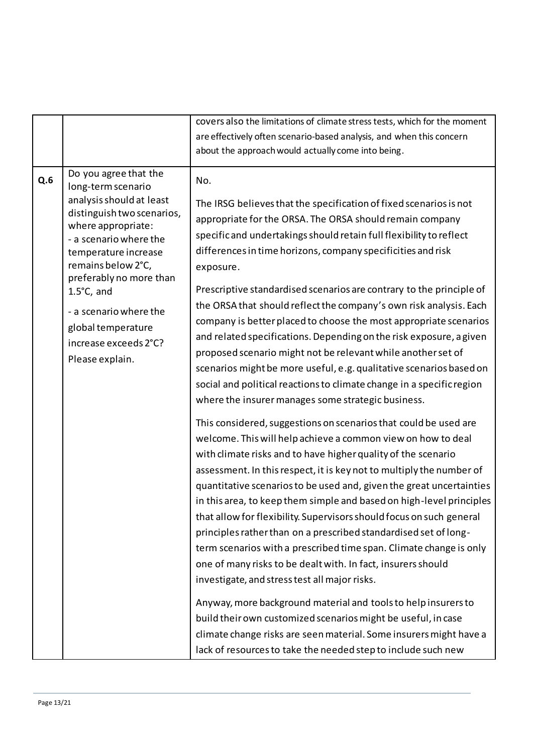|     |                                                                                                                                                                                                                                                                                  | covers also the limitations of climate stress tests, which for the moment                                                                                                                                                                                                                                                                                                                                                                                                                                                                                                                                                                                                                                                                                                                                                                                                                                                                                                                                                                                                                                                                                                                                                                                                                                                                                                           |
|-----|----------------------------------------------------------------------------------------------------------------------------------------------------------------------------------------------------------------------------------------------------------------------------------|-------------------------------------------------------------------------------------------------------------------------------------------------------------------------------------------------------------------------------------------------------------------------------------------------------------------------------------------------------------------------------------------------------------------------------------------------------------------------------------------------------------------------------------------------------------------------------------------------------------------------------------------------------------------------------------------------------------------------------------------------------------------------------------------------------------------------------------------------------------------------------------------------------------------------------------------------------------------------------------------------------------------------------------------------------------------------------------------------------------------------------------------------------------------------------------------------------------------------------------------------------------------------------------------------------------------------------------------------------------------------------------|
|     |                                                                                                                                                                                                                                                                                  | are effectively often scenario-based analysis, and when this concern                                                                                                                                                                                                                                                                                                                                                                                                                                                                                                                                                                                                                                                                                                                                                                                                                                                                                                                                                                                                                                                                                                                                                                                                                                                                                                                |
|     |                                                                                                                                                                                                                                                                                  | about the approach would actually come into being.                                                                                                                                                                                                                                                                                                                                                                                                                                                                                                                                                                                                                                                                                                                                                                                                                                                                                                                                                                                                                                                                                                                                                                                                                                                                                                                                  |
|     |                                                                                                                                                                                                                                                                                  |                                                                                                                                                                                                                                                                                                                                                                                                                                                                                                                                                                                                                                                                                                                                                                                                                                                                                                                                                                                                                                                                                                                                                                                                                                                                                                                                                                                     |
| Q.6 | Do you agree that the<br>long-term scenario<br>analysis should at least<br>distinguish two scenarios,<br>where appropriate:<br>- a scenario where the<br>temperature increase<br>remains below 2°C,<br>preferably no more than<br>$1.5^{\circ}$ C, and<br>- a scenario where the | No.<br>The IRSG believes that the specification of fixed scenarios is not<br>appropriate for the ORSA. The ORSA should remain company<br>specific and undertakings should retain full flexibility to reflect<br>differences in time horizons, company specificities and risk<br>exposure.<br>Prescriptive standardised scenarios are contrary to the principle of<br>the ORSA that should reflect the company's own risk analysis. Each<br>company is better placed to choose the most appropriate scenarios                                                                                                                                                                                                                                                                                                                                                                                                                                                                                                                                                                                                                                                                                                                                                                                                                                                                        |
|     | global temperature<br>increase exceeds 2°C?<br>Please explain.                                                                                                                                                                                                                   | and related specifications. Depending on the risk exposure, a given<br>proposed scenario might not be relevant while another set of<br>scenarios might be more useful, e.g. qualitative scenarios based on<br>social and political reactions to climate change in a specific region<br>where the insurer manages some strategic business.<br>This considered, suggestions on scenarios that could be used are<br>welcome. This will help achieve a common view on how to deal<br>with climate risks and to have higher quality of the scenario<br>assessment. In this respect, it is key not to multiply the number of<br>quantitative scenarios to be used and, given the great uncertainties<br>in this area, to keep them simple and based on high-level principles<br>that allow for flexibility. Supervisors should focus on such general<br>principles rather than on a prescribed standardised set of long-<br>term scenarios with a prescribed time span. Climate change is only<br>one of many risks to be dealt with. In fact, insurers should<br>investigate, and stress test all major risks.<br>Anyway, more background material and tools to help insurers to<br>build their own customized scenarios might be useful, in case<br>climate change risks are seen material. Some insurers might have a<br>lack of resources to take the needed step to include such new |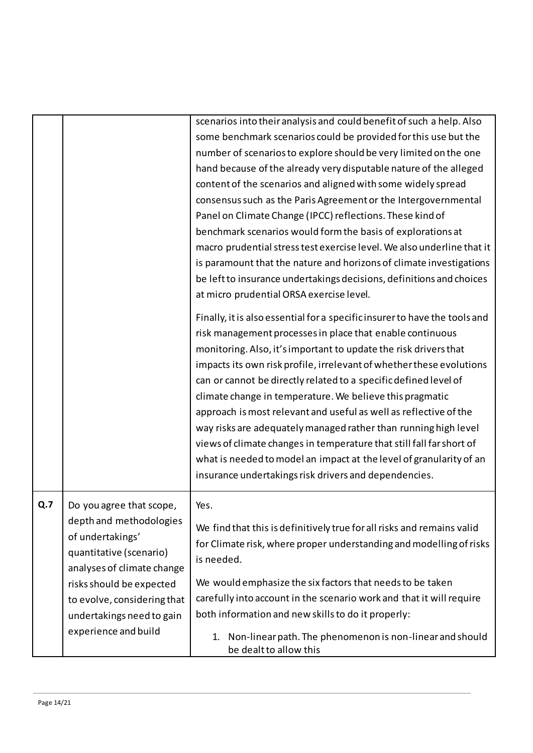|     |                                                                                                                                                                                                                                                  | scenarios into their analysis and could benefit of such a help. Also<br>some benchmark scenarios could be provided for this use but the<br>number of scenarios to explore should be very limited on the one                                                                                                                                                                                                                                                                                                                                                                                                                                                                                                                                                         |
|-----|--------------------------------------------------------------------------------------------------------------------------------------------------------------------------------------------------------------------------------------------------|---------------------------------------------------------------------------------------------------------------------------------------------------------------------------------------------------------------------------------------------------------------------------------------------------------------------------------------------------------------------------------------------------------------------------------------------------------------------------------------------------------------------------------------------------------------------------------------------------------------------------------------------------------------------------------------------------------------------------------------------------------------------|
|     |                                                                                                                                                                                                                                                  | hand because of the already very disputable nature of the alleged<br>content of the scenarios and aligned with some widely spread<br>consensus such as the Paris Agreement or the Intergovernmental<br>Panel on Climate Change (IPCC) reflections. These kind of<br>benchmark scenarios would form the basis of explorations at                                                                                                                                                                                                                                                                                                                                                                                                                                     |
|     |                                                                                                                                                                                                                                                  | macro prudential stress test exercise level. We also underline that it<br>is paramount that the nature and horizons of climate investigations<br>be left to insurance undertakings decisions, definitions and choices<br>at micro prudential ORSA exercise level.                                                                                                                                                                                                                                                                                                                                                                                                                                                                                                   |
|     |                                                                                                                                                                                                                                                  | Finally, it is also essential for a specific insurer to have the tools and<br>risk management processes in place that enable continuous<br>monitoring. Also, it's important to update the risk drivers that<br>impacts its own risk profile, irrelevant of whether these evolutions<br>can or cannot be directly related to a specific defined level of<br>climate change in temperature. We believe this pragmatic<br>approach is most relevant and useful as well as reflective of the<br>way risks are adequately managed rather than running high level<br>views of climate changes in temperature that still fall far short of<br>what is needed to model an impact at the level of granularity of an<br>insurance undertakings risk drivers and dependencies. |
| Q.7 | Do you agree that scope,<br>depth and methodologies<br>of undertakings'<br>quantitative (scenario)<br>analyses of climate change<br>risks should be expected<br>to evolve, considering that<br>undertakings need to gain<br>experience and build | Yes.<br>We find that this is definitively true for all risks and remains valid<br>for Climate risk, where proper understanding and modelling of risks<br>is needed.<br>We would emphasize the six factors that needs to be taken<br>carefully into account in the scenario work and that it will require<br>both information and new skills to do it properly:<br>Non-linear path. The phenomenon is non-linear and should<br>1.<br>be dealt to allow this                                                                                                                                                                                                                                                                                                          |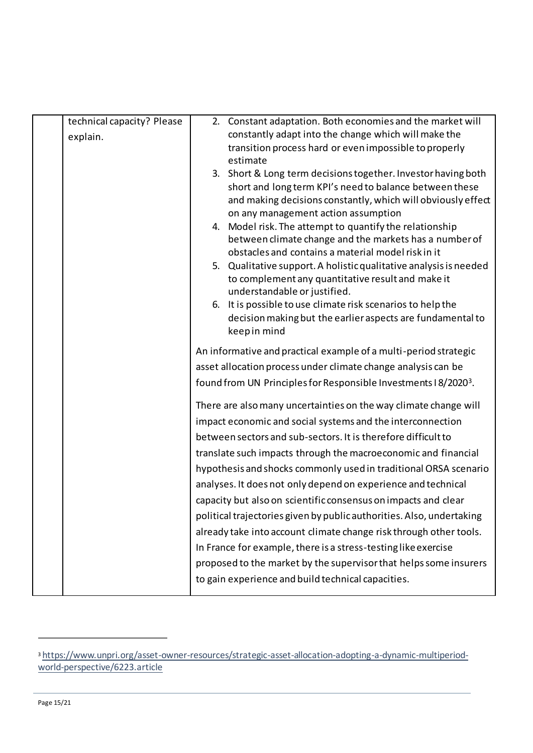| technical capacity? Please |                                                                                                                                                                                                                                                                    | 2. Constant adaptation. Both economies and the market will                                          |
|----------------------------|--------------------------------------------------------------------------------------------------------------------------------------------------------------------------------------------------------------------------------------------------------------------|-----------------------------------------------------------------------------------------------------|
| explain.                   |                                                                                                                                                                                                                                                                    | constantly adapt into the change which will make the                                                |
|                            |                                                                                                                                                                                                                                                                    | transition process hard or even impossible to properly                                              |
|                            |                                                                                                                                                                                                                                                                    | estimate                                                                                            |
|                            |                                                                                                                                                                                                                                                                    | 3. Short & Long term decisions together. Investor having both                                       |
|                            |                                                                                                                                                                                                                                                                    | short and long term KPI's need to balance between these                                             |
|                            |                                                                                                                                                                                                                                                                    | and making decisions constantly, which will obviously effect<br>on any management action assumption |
|                            |                                                                                                                                                                                                                                                                    | 4. Model risk. The attempt to quantify the relationship                                             |
|                            |                                                                                                                                                                                                                                                                    | between climate change and the markets has a number of                                              |
|                            |                                                                                                                                                                                                                                                                    | obstacles and contains a material model risk in it                                                  |
|                            |                                                                                                                                                                                                                                                                    | 5. Qualitative support. A holistic qualitative analysis is needed                                   |
|                            |                                                                                                                                                                                                                                                                    | to complement any quantitative result and make it                                                   |
|                            |                                                                                                                                                                                                                                                                    | understandable or justified.                                                                        |
|                            |                                                                                                                                                                                                                                                                    | 6. It is possible to use climate risk scenarios to help the                                         |
|                            |                                                                                                                                                                                                                                                                    | decision making but the earlier aspects are fundamental to                                          |
|                            |                                                                                                                                                                                                                                                                    | keep in mind                                                                                        |
|                            | An informative and practical example of a multi-period strategic                                                                                                                                                                                                   |                                                                                                     |
|                            |                                                                                                                                                                                                                                                                    | asset allocation process under climate change analysis can be                                       |
|                            | found from UN Principles for Responsible Investments I 8/20203.<br>There are also many uncertainties on the way climate change will<br>impact economic and social systems and the interconnection<br>between sectors and sub-sectors. It is therefore difficult to |                                                                                                     |
|                            |                                                                                                                                                                                                                                                                    |                                                                                                     |
|                            |                                                                                                                                                                                                                                                                    |                                                                                                     |
|                            |                                                                                                                                                                                                                                                                    |                                                                                                     |
|                            |                                                                                                                                                                                                                                                                    | translate such impacts through the macroeconomic and financial                                      |
|                            |                                                                                                                                                                                                                                                                    | hypothesis and shocks commonly used in traditional ORSA scenario                                    |
|                            |                                                                                                                                                                                                                                                                    | analyses. It does not only depend on experience and technical                                       |
|                            |                                                                                                                                                                                                                                                                    | capacity but also on scientific consensus on impacts and clear                                      |
|                            |                                                                                                                                                                                                                                                                    | political trajectories given by public authorities. Also, undertaking                               |
|                            |                                                                                                                                                                                                                                                                    | already take into account climate change risk through other tools.                                  |
|                            |                                                                                                                                                                                                                                                                    | In France for example, there is a stress-testing like exercise                                      |
|                            |                                                                                                                                                                                                                                                                    | proposed to the market by the supervisor that helps some insurers                                   |
|                            |                                                                                                                                                                                                                                                                    |                                                                                                     |
|                            |                                                                                                                                                                                                                                                                    | to gain experience and build technical capacities.                                                  |

í

<sup>3</sup> [https://www.unpri.org/asset-owner-resources/strategic-asset-allocation-adopting-a-dynamic-multiperiod](https://www.unpri.org/asset-owner-resources/strategic-asset-allocation-adopting-a-dynamic-multiperiod-world-perspective/6223.article)[world-perspective/6223.article](https://www.unpri.org/asset-owner-resources/strategic-asset-allocation-adopting-a-dynamic-multiperiod-world-perspective/6223.article)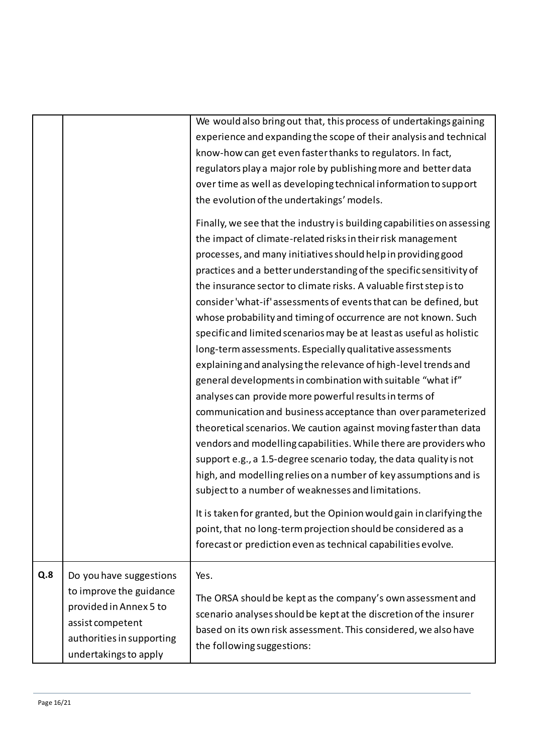|     |                                                                                                                                                        | We would also bring out that, this process of undertakings gaining<br>experience and expanding the scope of their analysis and technical<br>know-how can get even faster thanks to regulators. In fact,<br>regulators play a major role by publishing more and better data<br>over time as well as developing technical information to support<br>the evolution of the undertakings' models.<br>Finally, we see that the industry is building capabilities on assessing<br>the impact of climate-related risks in their risk management<br>processes, and many initiatives should help in providing good<br>practices and a better understanding of the specific sensitivity of<br>the insurance sector to climate risks. A valuable first step is to<br>consider 'what-if' assessments of events that can be defined, but<br>whose probability and timing of occurrence are not known. Such<br>specific and limited scenarios may be at least as useful as holistic<br>long-term assessments. Especially qualitative assessments<br>explaining and analysing the relevance of high-level trends and<br>general developments in combination with suitable "what if"<br>analyses can provide more powerful results in terms of<br>communication and business acceptance than over parameterized<br>theoretical scenarios. We caution against moving faster than data<br>vendors and modelling capabilities. While there are providers who<br>support e.g., a 1.5-degree scenario today, the data quality is not<br>high, and modelling relies on a number of key assumptions and is<br>subject to a number of weaknesses and limitations.<br>It is taken for granted, but the Opinion would gain in clarifying the<br>point, that no long-term projection should be considered as a |
|-----|--------------------------------------------------------------------------------------------------------------------------------------------------------|------------------------------------------------------------------------------------------------------------------------------------------------------------------------------------------------------------------------------------------------------------------------------------------------------------------------------------------------------------------------------------------------------------------------------------------------------------------------------------------------------------------------------------------------------------------------------------------------------------------------------------------------------------------------------------------------------------------------------------------------------------------------------------------------------------------------------------------------------------------------------------------------------------------------------------------------------------------------------------------------------------------------------------------------------------------------------------------------------------------------------------------------------------------------------------------------------------------------------------------------------------------------------------------------------------------------------------------------------------------------------------------------------------------------------------------------------------------------------------------------------------------------------------------------------------------------------------------------------------------------------------------------------------------------------------------------------------------------------------------------------------------------------------|
|     |                                                                                                                                                        | forecast or prediction even as technical capabilities evolve.                                                                                                                                                                                                                                                                                                                                                                                                                                                                                                                                                                                                                                                                                                                                                                                                                                                                                                                                                                                                                                                                                                                                                                                                                                                                                                                                                                                                                                                                                                                                                                                                                                                                                                                      |
| Q.8 | Do you have suggestions<br>to improve the guidance<br>provided in Annex 5 to<br>assist competent<br>authorities in supporting<br>undertakings to apply | Yes.<br>The ORSA should be kept as the company's own assessment and<br>scenario analyses should be kept at the discretion of the insurer<br>based on its own risk assessment. This considered, we also have<br>the following suggestions:                                                                                                                                                                                                                                                                                                                                                                                                                                                                                                                                                                                                                                                                                                                                                                                                                                                                                                                                                                                                                                                                                                                                                                                                                                                                                                                                                                                                                                                                                                                                          |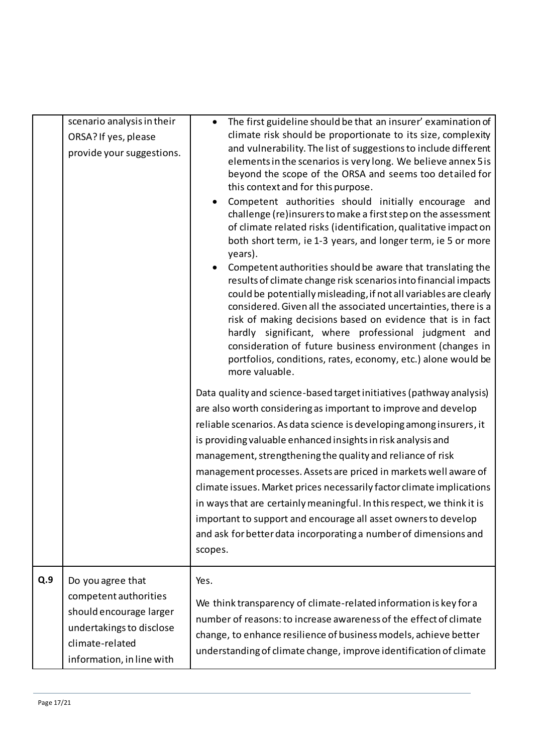|     | scenario analysis in their<br>ORSA? If yes, please<br>provide your suggestions.                                                                   | The first guideline should be that an insurer' examination of<br>climate risk should be proportionate to its size, complexity<br>and vulnerability. The list of suggestions to include different<br>elements in the scenarios is very long. We believe annex 5 is<br>beyond the scope of the ORSA and seems too detailed for<br>this context and for this purpose.<br>Competent authorities should initially encourage and<br>challenge (re)insurers to make a first step on the assessment<br>of climate related risks (identification, qualitative impact on<br>both short term, ie 1-3 years, and longer term, ie 5 or more<br>years).<br>Competent authorities should be aware that translating the<br>results of climate change risk scenarios into financial impacts<br>could be potentially misleading, if not all variables are clearly<br>considered. Given all the associated uncertainties, there is a<br>risk of making decisions based on evidence that is in fact<br>hardly significant, where professional judgment and<br>consideration of future business environment (changes in<br>portfolios, conditions, rates, economy, etc.) alone would be<br>more valuable.<br>Data quality and science-based target initiatives (pathway analysis)<br>are also worth considering as important to improve and develop<br>reliable scenarios. As data science is developing among insurers, it<br>is providing valuable enhanced insights in risk analysis and<br>management, strengthening the quality and reliance of risk<br>management processes. Assets are priced in markets well aware of<br>climate issues. Market prices necessarily factor climate implications<br>in ways that are certainly meaningful. In this respect, we think it is<br>important to support and encourage all asset owners to develop<br>and ask for better data incorporating a number of dimensions and<br>scopes. |
|-----|---------------------------------------------------------------------------------------------------------------------------------------------------|--------------------------------------------------------------------------------------------------------------------------------------------------------------------------------------------------------------------------------------------------------------------------------------------------------------------------------------------------------------------------------------------------------------------------------------------------------------------------------------------------------------------------------------------------------------------------------------------------------------------------------------------------------------------------------------------------------------------------------------------------------------------------------------------------------------------------------------------------------------------------------------------------------------------------------------------------------------------------------------------------------------------------------------------------------------------------------------------------------------------------------------------------------------------------------------------------------------------------------------------------------------------------------------------------------------------------------------------------------------------------------------------------------------------------------------------------------------------------------------------------------------------------------------------------------------------------------------------------------------------------------------------------------------------------------------------------------------------------------------------------------------------------------------------------------------------------------------------------------------------------------------------------------------|
| Q.9 | Do you agree that<br>competent authorities<br>should encourage larger<br>undertakings to disclose<br>climate-related<br>information, in line with | Yes.<br>We think transparency of climate-related information is key for a<br>number of reasons: to increase awareness of the effect of climate<br>change, to enhance resilience of business models, achieve better<br>understanding of climate change, improve identification of climate                                                                                                                                                                                                                                                                                                                                                                                                                                                                                                                                                                                                                                                                                                                                                                                                                                                                                                                                                                                                                                                                                                                                                                                                                                                                                                                                                                                                                                                                                                                                                                                                                     |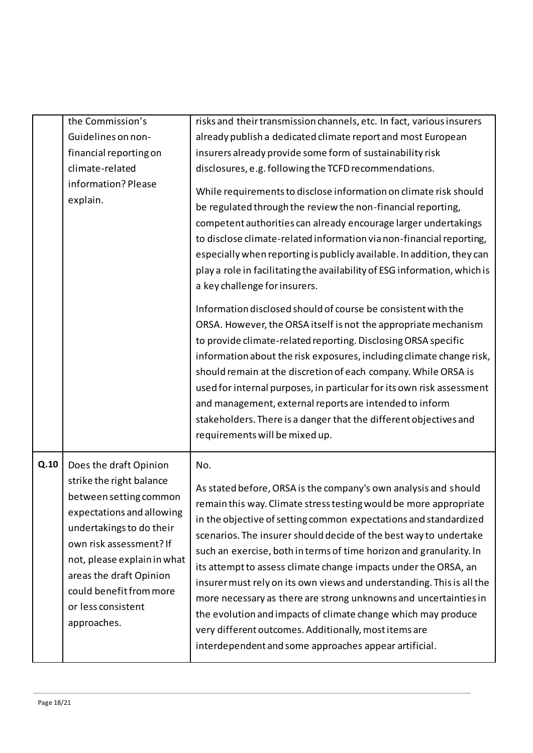|      | the Commission's                                                                                                                                                                                                                                                                           | risks and their transmission channels, etc. In fact, various insurers                                                                                                                                                                                                                                                                                                                                                                                                                                                                                                                                                                                                                                                                                          |
|------|--------------------------------------------------------------------------------------------------------------------------------------------------------------------------------------------------------------------------------------------------------------------------------------------|----------------------------------------------------------------------------------------------------------------------------------------------------------------------------------------------------------------------------------------------------------------------------------------------------------------------------------------------------------------------------------------------------------------------------------------------------------------------------------------------------------------------------------------------------------------------------------------------------------------------------------------------------------------------------------------------------------------------------------------------------------------|
|      | Guidelines on non-                                                                                                                                                                                                                                                                         | already publish a dedicated climate report and most European                                                                                                                                                                                                                                                                                                                                                                                                                                                                                                                                                                                                                                                                                                   |
|      | financial reporting on                                                                                                                                                                                                                                                                     | insurers already provide some form of sustainability risk                                                                                                                                                                                                                                                                                                                                                                                                                                                                                                                                                                                                                                                                                                      |
|      | climate-related                                                                                                                                                                                                                                                                            | disclosures, e.g. following the TCFD recommendations.                                                                                                                                                                                                                                                                                                                                                                                                                                                                                                                                                                                                                                                                                                          |
|      | information? Please<br>explain.                                                                                                                                                                                                                                                            | While requirements to disclose information on climate risk should<br>be regulated through the review the non-financial reporting,<br>competent authorities can already encourage larger undertakings<br>to disclose climate-related information via non-financial reporting,<br>especially when reporting is publicly available. In addition, they can<br>play a role in facilitating the availability of ESG information, which is<br>a key challenge for insurers.                                                                                                                                                                                                                                                                                           |
|      |                                                                                                                                                                                                                                                                                            | Information disclosed should of course be consistent with the<br>ORSA. However, the ORSA itself is not the appropriate mechanism<br>to provide climate-related reporting. Disclosing ORSA specific<br>information about the risk exposures, including climate change risk,<br>should remain at the discretion of each company. While ORSA is<br>used for internal purposes, in particular for its own risk assessment<br>and management, external reports are intended to inform<br>stakeholders. There is a danger that the different objectives and<br>requirements will be mixed up.                                                                                                                                                                        |
| Q.10 | Does the draft Opinion<br>strike the right balance<br>between setting common<br>expectations and allowing<br>undertakings to do their<br>own risk assessment? If<br>not, please explain in what<br>areas the draft Opinion<br>could benefit from more<br>or less consistent<br>approaches. | No.<br>As stated before, ORSA is the company's own analysis and should<br>remain this way. Climate stress testing would be more appropriate<br>in the objective of setting common expectations and standardized<br>scenarios. The insurer should decide of the best way to undertake<br>such an exercise, both in terms of time horizon and granularity. In<br>its attempt to assess climate change impacts under the ORSA, an<br>insurer must rely on its own views and understanding. This is all the<br>more necessary as there are strong unknowns and uncertainties in<br>the evolution and impacts of climate change which may produce<br>very different outcomes. Additionally, most items are<br>interdependent and some approaches appear artificial. |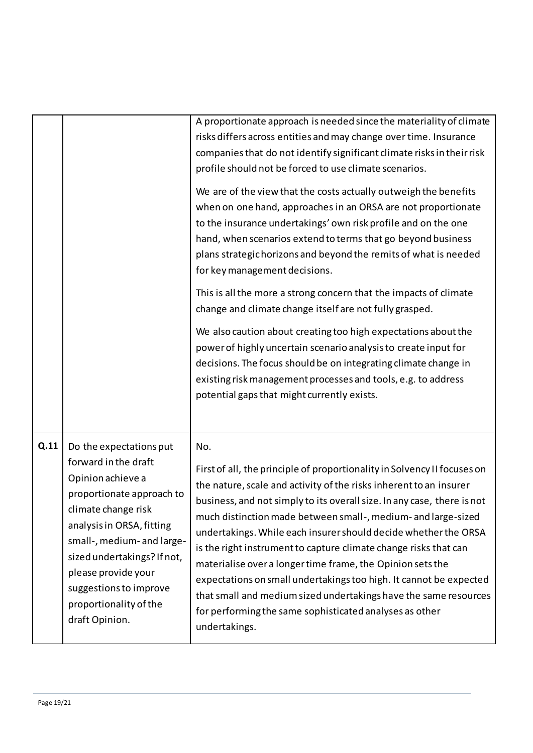|      |                                                                                                                                                                                                                                                                                                                 | A proportionate approach is needed since the materiality of climate<br>risks differs across entities and may change over time. Insurance<br>companies that do not identify significant climate risks in their risk<br>profile should not be forced to use climate scenarios.<br>We are of the view that the costs actually outweigh the benefits<br>when on one hand, approaches in an ORSA are not proportionate<br>to the insurance undertakings' own risk profile and on the one<br>hand, when scenarios extend to terms that go beyond business<br>plans strategic horizons and beyond the remits of what is needed<br>for key management decisions.<br>This is all the more a strong concern that the impacts of climate<br>change and climate change itself are not fully grasped.<br>We also caution about creating too high expectations about the<br>power of highly uncertain scenario analysis to create input for<br>decisions. The focus should be on integrating climate change in<br>existing risk management processes and tools, e.g. to address<br>potential gaps that might currently exists. |
|------|-----------------------------------------------------------------------------------------------------------------------------------------------------------------------------------------------------------------------------------------------------------------------------------------------------------------|------------------------------------------------------------------------------------------------------------------------------------------------------------------------------------------------------------------------------------------------------------------------------------------------------------------------------------------------------------------------------------------------------------------------------------------------------------------------------------------------------------------------------------------------------------------------------------------------------------------------------------------------------------------------------------------------------------------------------------------------------------------------------------------------------------------------------------------------------------------------------------------------------------------------------------------------------------------------------------------------------------------------------------------------------------------------------------------------------------------|
| Q.11 | Do the expectations put<br>forward in the draft<br>Opinion achieve a<br>proportionate approach to<br>climate change risk<br>analysis in ORSA, fitting<br>small-, medium- and large-<br>sized undertakings? If not,<br>please provide your<br>suggestions to improve<br>proportionality of the<br>draft Opinion. | No.<br>First of all, the principle of proportionality in Solvency II focuses on<br>the nature, scale and activity of the risks inherent to an insurer<br>business, and not simply to its overall size. In any case, there is not<br>much distinction made between small-, medium- and large-sized<br>undertakings. While each insurer should decide whether the ORSA<br>is the right instrument to capture climate change risks that can<br>materialise over a longer time frame, the Opinion sets the<br>expectations on small undertakings too high. It cannot be expected<br>that small and medium sized undertakings have the same resources<br>for performing the same sophisticated analyses as other<br>undertakings.                                                                                                                                                                                                                                                                                                                                                                                     |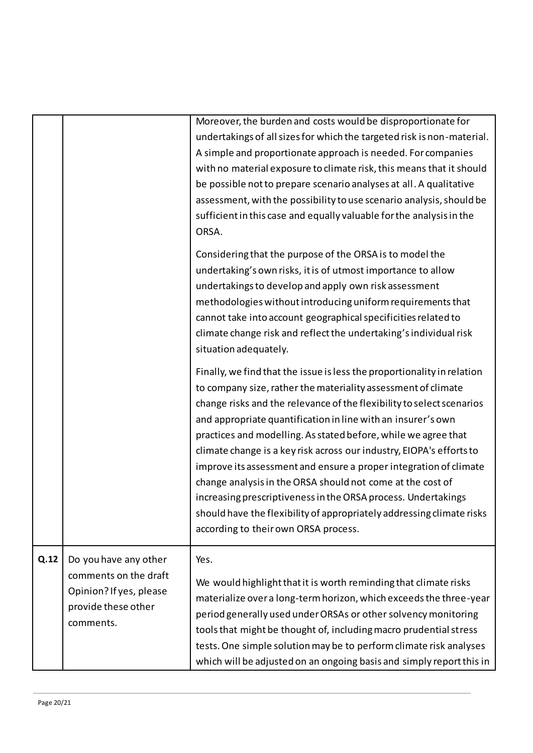|      |                                                                                      | Moreover, the burden and costs would be disproportionate for<br>undertakings of all sizes for which the targeted risk is non-material.<br>A simple and proportionate approach is needed. For companies<br>with no material exposure to climate risk, this means that it should<br>be possible not to prepare scenario analyses at all. A qualitative<br>assessment, with the possibility to use scenario analysis, should be<br>sufficient in this case and equally valuable for the analysis in the<br>ORSA.<br>Considering that the purpose of the ORSA is to model the<br>undertaking's own risks, it is of utmost importance to allow<br>undertakings to develop and apply own risk assessment<br>methodologies without introducing uniform requirements that<br>cannot take into account geographical specificities related to<br>climate change risk and reflect the undertaking's individual risk<br>situation adequately.<br>Finally, we find that the issue is less the proportionality in relation<br>to company size, rather the materiality assessment of climate<br>change risks and the relevance of the flexibility to select scenarios<br>and appropriate quantification in line with an insurer's own<br>practices and modelling. As stated before, while we agree that<br>climate change is a key risk across our industry, EIOPA's efforts to<br>improve its assessment and ensure a proper integration of climate<br>change analysis in the ORSA should not come at the cost of<br>increasing prescriptiveness in the ORSA process. Undertakings<br>should have the flexibility of appropriately addressing climate risks<br>according to their own ORSA process. |
|------|--------------------------------------------------------------------------------------|---------------------------------------------------------------------------------------------------------------------------------------------------------------------------------------------------------------------------------------------------------------------------------------------------------------------------------------------------------------------------------------------------------------------------------------------------------------------------------------------------------------------------------------------------------------------------------------------------------------------------------------------------------------------------------------------------------------------------------------------------------------------------------------------------------------------------------------------------------------------------------------------------------------------------------------------------------------------------------------------------------------------------------------------------------------------------------------------------------------------------------------------------------------------------------------------------------------------------------------------------------------------------------------------------------------------------------------------------------------------------------------------------------------------------------------------------------------------------------------------------------------------------------------------------------------------------------------------------------------------------------------------------------------------------------------|
| Q.12 | Do you have any other                                                                | Yes.                                                                                                                                                                                                                                                                                                                                                                                                                                                                                                                                                                                                                                                                                                                                                                                                                                                                                                                                                                                                                                                                                                                                                                                                                                                                                                                                                                                                                                                                                                                                                                                                                                                                                  |
|      | comments on the draft<br>Opinion? If yes, please<br>provide these other<br>comments. | We would highlight that it is worth reminding that climate risks<br>materialize over a long-term horizon, which exceeds the three-year<br>period generally used under ORSAs or other solvency monitoring<br>tools that might be thought of, including macro prudential stress<br>tests. One simple solution may be to perform climate risk analyses<br>which will be adjusted on an ongoing basis and simply report this in                                                                                                                                                                                                                                                                                                                                                                                                                                                                                                                                                                                                                                                                                                                                                                                                                                                                                                                                                                                                                                                                                                                                                                                                                                                           |